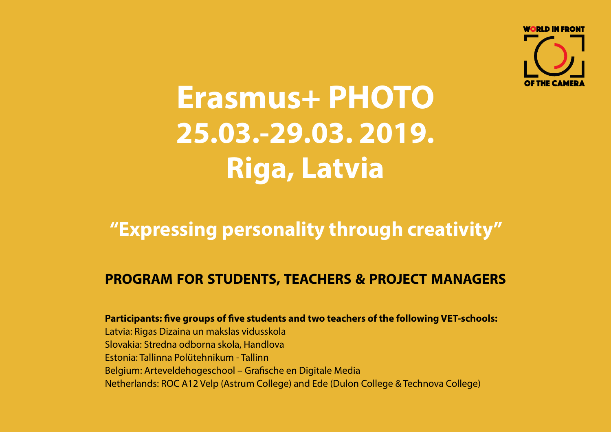

# **Erasmus+ PHOTO 25.03.-29.03. 2019. Riga, Latvia**

### **"Expressing personality through creativity"**

### **PROGRAM FOR STUDENTS, TEACHERS & PROJECT MANAGERS**

**Participants: five groups of five students and two teachers of the following VET-schools:** Latvia: Rigas Dizaina un makslas vidusskola Slovakia: Stredna odborna skola, Handlova Estonia: Tallinna Polütehnikum - Tallinn Belgium: Arteveldehogeschool – Grafische en Digitale Media Netherlands: ROC A12 Velp (Astrum College) and Ede (Dulon College & Technova College)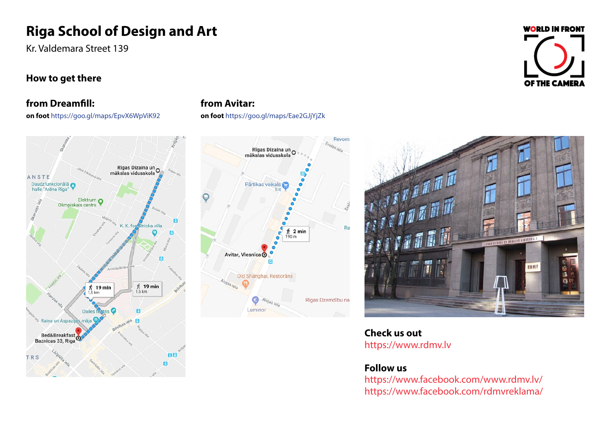### **Riga School of Design and Art**

Kr. Valdemara Street 139

# **WORLD IN FRONT OF THE CAMERA**

#### **How to get there**

#### **from Dreamfill:**

**on foot** https://goo.gl/maps/EpvX6WpViK92



#### **from Avitar:**

**on foot** https://goo.gl/maps/Eae2GJjYjZk





**Check us out** https://www.rdmv.lv

#### **Follow us**

https://www.facebook.com/www.rdmv.lv/ https://www.facebook.com/rdmvreklama/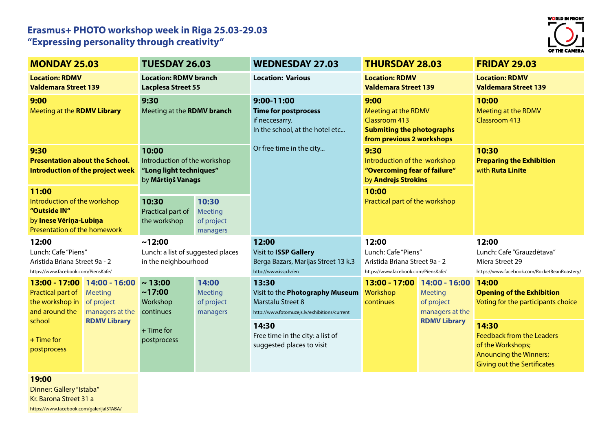#### **Erasmus+ PHOTO workshop week in Riga 25.03-29.03 "Expressing personality through creativity"**



| <b>MONDAY 25.03</b>                                                                                             |                                                                                                | <b>TUESDAY 26.03</b>                                                                  |                                            | <b>WEDNESDAY 27.03</b>                                                                                                      | <b>THURSDAY 28.03</b>                                                                                                |                                                                                         | <b>FRIDAY 29.03</b>                                                                                                                   |
|-----------------------------------------------------------------------------------------------------------------|------------------------------------------------------------------------------------------------|---------------------------------------------------------------------------------------|--------------------------------------------|-----------------------------------------------------------------------------------------------------------------------------|----------------------------------------------------------------------------------------------------------------------|-----------------------------------------------------------------------------------------|---------------------------------------------------------------------------------------------------------------------------------------|
| <b>Location: RDMV</b><br><b>Valdemara Street 139</b>                                                            |                                                                                                | <b>Location: RDMV branch</b><br><b>Lacplesa Street 55</b>                             |                                            | <b>Location: Various</b>                                                                                                    | <b>Location: RDMV</b><br><b>Valdemara Street 139</b>                                                                 |                                                                                         | <b>Location: RDMV</b><br><b>Valdemara Street 139</b>                                                                                  |
| 9:00<br>Meeting at the RDMV Library                                                                             |                                                                                                | 9:30<br>Meeting at the <b>RDMV branch</b>                                             |                                            | 9:00-11:00<br><b>Time for postprocess</b><br>if neccesarry.<br>In the school, at the hotel etc                              | 9:00<br><b>Meeting at the RDMV</b><br>Classroom 413<br><b>Submiting the photographs</b><br>from previous 2 workshops |                                                                                         | 10:00<br>Meeting at the RDMV<br><b>Classroom 413</b>                                                                                  |
| 9:30<br><b>Presentation about the School.</b><br>Introduction of the project week                               |                                                                                                | 10:00<br>Introduction of the workshop<br>"Long light techniques"<br>by Mārtiņš Vanags |                                            | Or free time in the city                                                                                                    | 9:30<br>Introduction of the workshop<br>"Overcoming fear of failure"<br>by Andrejs Strokins                          |                                                                                         | 10:30<br><b>Preparing the Exhibition</b><br>with <b>Ruta Linite</b>                                                                   |
| 11:00<br>Introduction of the workshop<br>"Outside IN"<br>by Inese Vēriņa-Lubiņa<br>Presentation of the homework |                                                                                                | 10:30<br>Practical part of<br>the workshop                                            | 10:30<br>Meeting<br>of project<br>managers |                                                                                                                             | 10:00<br>Practical part of the workshop                                                                              |                                                                                         |                                                                                                                                       |
| 12:00<br>Lunch: Cafe "Piens"<br>Aristida Briana Street 9a - 2<br>https://www.facebook.com/PiensKafe/            |                                                                                                | ~12:00<br>Lunch: a list of suggested places<br>in the neighbourhood                   |                                            | 12:00<br>Visit to ISSP Gallery<br>Berga Bazars, Marijas Street 13 k.3<br>http://www.issp.lv/en                              | 12:00<br>Lunch: Cafe "Piens"<br>Aristida Briana Street 9a - 2<br>https://www.facebook.com/PiensKafe/                 |                                                                                         | 12:00<br>Lunch: Cafe "Grauzdētava"<br>Miera Street 29<br>https://www.facebook.com/RocketBeanRoastery/                                 |
| Practical part of<br>the workshop in<br>and around the<br>school<br>$+$ Time for<br>postprocess                 | 13:00 - 17:00 14:00 - 16:00<br>Meeting<br>of project<br>managers at the<br><b>RDMV Library</b> | ~13:00<br>~17:00<br>Workshop<br>continues<br>$+$ Time for<br>postprocess              | 14:00<br>Meeting<br>of project<br>managers | 13:30<br>Visit to the <b>Photography Museum</b><br><b>Marstalu Street 8</b><br>http://www.fotomuzejs.lv/exhibitions/current | 13:00 - 17:00<br>Workshop<br>continues                                                                               | 14:00 - 16:00<br><b>Meeting</b><br>of project<br>managers at the<br><b>RDMV Library</b> | 14:00<br><b>Opening of the Exhibition</b><br>Voting for the participants choice                                                       |
|                                                                                                                 |                                                                                                |                                                                                       |                                            | 14:30<br>Free time in the city: a list of<br>suggested places to visit                                                      |                                                                                                                      |                                                                                         | 14:30<br><b>Feedback from the Leaders</b><br>of the Workshops;<br><b>Anouncing the Winners;</b><br><b>Giving out the Sertificates</b> |

**19:00** 

Dinner: Gallery "Istaba" Kr. Barona Street 31 a https://www.facebook.com/galerijaISTABA/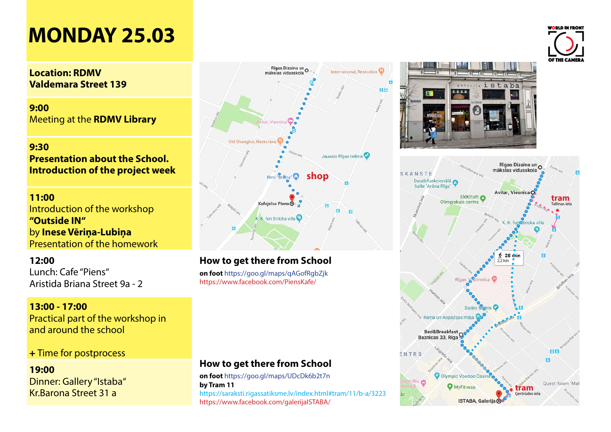## **MONDAY 25.03**

#### **Location: RDMV Valdemara Street 139**

**9:00**  Meeting at the **RDMV Library**

#### **9:30 Presentation about the School. Introduction of the project week**

#### **11:00**

Introduction of the workshop **"Outside IN"**  by **Inese Vēriņa-Lubiņa** Presentation of the homework

#### **12:00**

Lunch: Cafe "Piens" Aristida Briana Street 9a - 2

#### **13:00 - 17:00** Practical part of the workshop in and around the school

#### **+** Time for postprocess

#### **19:00**  Dinner: Gallery "Istaba" Kr.Barona Street 31 a



#### **How to get there from School**

**on foot** https://goo.gl/maps/qAGofRgbZjk https://www.facebook.com/PiensKafe/

#### **How to get there from School**

**on foot** https://goo.gl/maps/UDcDk6b2t7n **by Tram 11** https://saraksti.rigassatiksme.lv/index.html#tram/11/b-a/3223 https://www.facebook.com/galerijaISTABA/





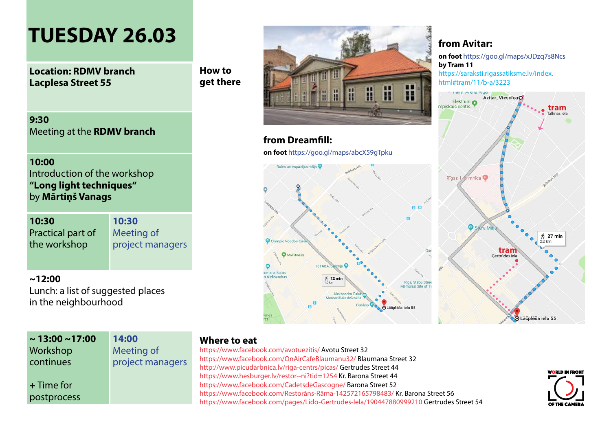### **TUESDAY 26.03**

**Location: RDMV branch Lacplesa Street 55**

**How to get there**

**9:30** Meeting at the **RDMV branch**

**10:00** Introduction of the workshop **"Long light techniques"** by **Mārtiņš Vanags**

**10:30** Practical part of the workshop

**10:30** Meeting of project managers

**~12:00** 

Lunch: a list of suggested places in the neighbourhood

| $\sim$ 13:00 ~17:00 | 14:00            |
|---------------------|------------------|
| Workshop            | Meeting of       |
| continues           | project managers |
|                     |                  |
| $+$ Time for        |                  |
| postprocess         |                  |

#### **Where to eat**

Olympic Voodoo

Iomana Sutas Alekcandra

**O** MyFitness

https://www.facebook.com/avotuezitis/ Avotu Street 32 https://www.facebook.com/OnAirCafeBlaumanu32/ Blaumana Street 32 http://www.picudarbnica.lv/riga-centrs/picas/ Gertrudes Street 44 https://www.hesburger.lv/restor--ni?tid=1254 Kr. Barona Street 44 https://www.facebook.com/CadetsdeGascogne/ Barona Street 52 https://www.facebook.com/Restorāns-Rāma-142572165798483/ Kr. Barona Street 56 https://www.facebook.com/pages/Lido-Gertrudes-Iela/190447880999210 Gertrudes Street 54



#### **from Avitar:**

**on foot** https://goo.gl/maps/xJDzq7s8Ncs **by Tram 11**

[https://saraksti.rigassatiksme.lv/index.](https://saraksti.rigassatiksme.lv/index.html#tram/11/b-a/3223) [html#tram/11/b-a/3223](https://saraksti.rigassatiksme.lv/index.html#tram/11/b-a/3223)

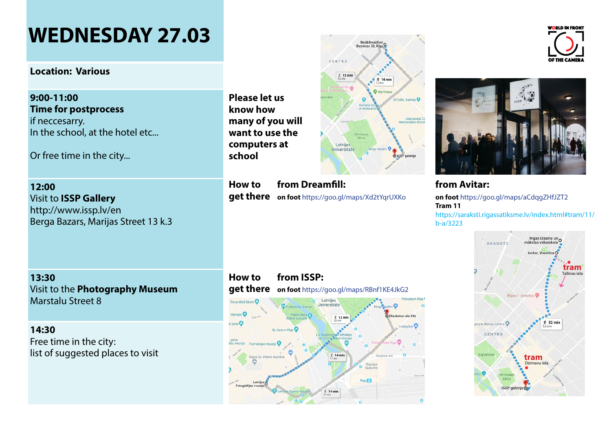## **WEDNESDAY 27.03**

#### **Location: Various**

**9:00-11:00 Time for postprocess**  if neccesarry. In the school, at the hotel etc...

Or free time in the city...

**12:00**  Visit to **ISSP Gallery** http://www.issp.lv/en Berga Bazars, Marijas Street 13 k.3

**13:30** Visit to the **Photography Museum** Marstalu Street 8

**14:30**  Free time in the city: list of suggested places to visit **Please let us know how many of you will want to use the computers at school**

**How to get there on foot** https://goo.gl/maps/Xd2tYqrUXKo **from Dreamfill:** 

#### **How to get there on foot** https://goo.gl/maps/RBnf1KE4JkG2 **from ISSP:**







#### **from Avitar:**

**on foot** https://goo.gl/maps/aCdqgZHfJZT2 **Tram 11** [https://saraksti.rigassatiksme.lv/index.html#tram/11/](https://saraksti.rigassatiksme.lv/index.html#tram/11/b-a/3223) [b-a/3223](https://saraksti.rigassatiksme.lv/index.html#tram/11/b-a/3223)



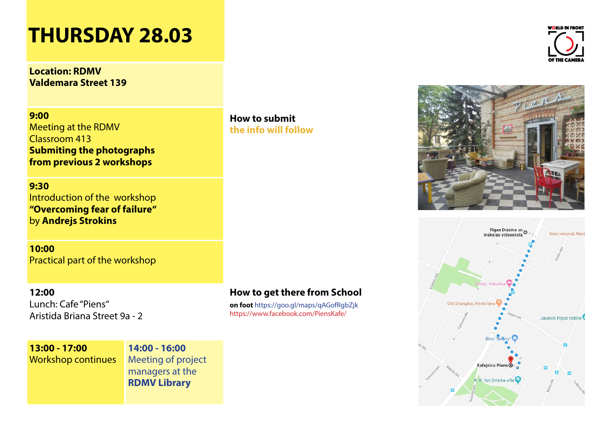## **THURSDAY 28.03**

**Location: RDMV Valdemara Street 139**

**9:00** Meeting at the RDMV Classroom 413 **Submiting the photographs from previous 2 workshops**

**9:30** Introduction of the workshop **"Overcoming fear of failure"**  by **Andrejs Strokins**

**10:00**  Practical part of the workshop

#### **12:00**

Lunch: Cafe "Piens" Aristida Briana Street 9a - 2 **How to submit the info will follow**

#### **How to get there from School**

**on foot** https://goo.gl/maps/qAGofRgbZjk https://www.facebook.com/PiensKafe/

**13:00 - 17:00** Workshop continues **14:00 - 16:00** Meeting of project managers at the **RDMV Library**

WORLD IN FRONT OF THE CAMERA